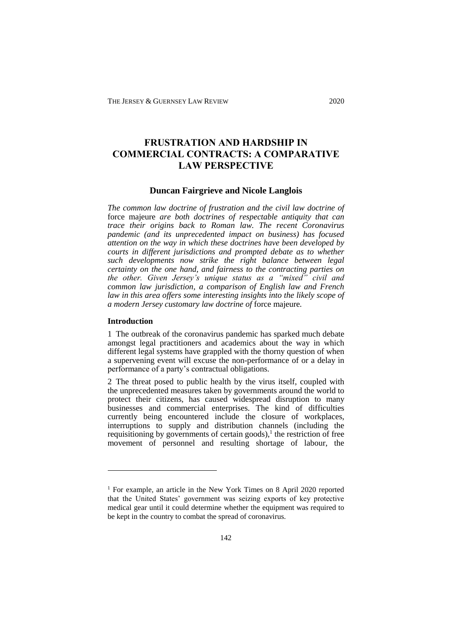# **FRUSTRATION AND HARDSHIP IN COMMERCIAL CONTRACTS: A COMPARATIVE LAW PERSPECTIVE**

# **Duncan Fairgrieve and Nicole Langlois**

*The common law doctrine of frustration and the civil law doctrine of*  force majeure *are both doctrines of respectable antiquity that can trace their origins back to Roman law. The recent Coronavirus pandemic (and its unprecedented impact on business) has focused attention on the way in which these doctrines have been developed by courts in different jurisdictions and prompted debate as to whether such developments now strike the right balance between legal certainty on the one hand, and fairness to the contracting parties on the other. Given Jersey's unique status as a "mixed" civil and common law jurisdiction, a comparison of English law and French law in this area offers some interesting insights into the likely scope of a modern Jersey customary law doctrine of* force majeure*.*

### **Introduction**

<u>.</u>

1 The outbreak of the coronavirus pandemic has sparked much debate amongst legal practitioners and academics about the way in which different legal systems have grappled with the thorny question of when a supervening event will excuse the non-performance of or a delay in performance of a party's contractual obligations.

2 The threat posed to public health by the virus itself, coupled with the unprecedented measures taken by governments around the world to protect their citizens, has caused widespread disruption to many businesses and commercial enterprises. The kind of difficulties currently being encountered include the closure of workplaces, interruptions to supply and distribution channels (including the requisitioning by governments of certain goods),<sup>1</sup> the restriction of free movement of personnel and resulting shortage of labour, the

<sup>&</sup>lt;sup>1</sup> For example, an article in the New York Times on 8 April 2020 reported that the United States' government was seizing exports of key protective medical gear until it could determine whether the equipment was required to be kept in the country to combat the spread of coronavirus.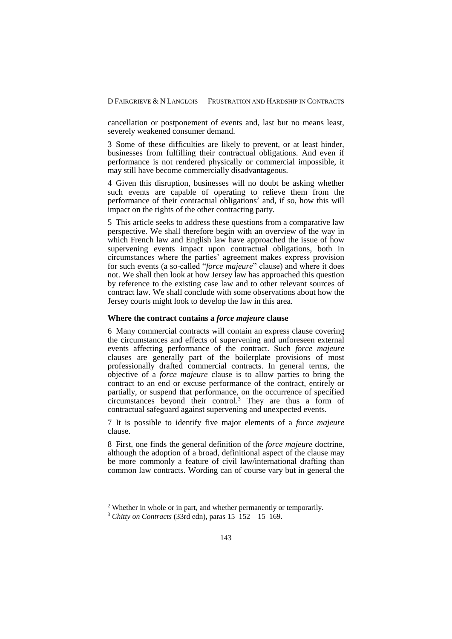cancellation or postponement of events and, last but no means least, severely weakened consumer demand.

3 Some of these difficulties are likely to prevent, or at least hinder, businesses from fulfilling their contractual obligations. And even if performance is not rendered physically or commercial impossible, it may still have become commercially disadvantageous.

4 Given this disruption, businesses will no doubt be asking whether such events are capable of operating to relieve them from the performance of their contractual obligations<sup>2</sup> and, if so, how this will impact on the rights of the other contracting party.

5 This article seeks to address these questions from a comparative law perspective. We shall therefore begin with an overview of the way in which French law and English law have approached the issue of how supervening events impact upon contractual obligations, both in circumstances where the parties' agreement makes express provision for such events (a so-called "*force majeure*" clause) and where it does not. We shall then look at how Jersey law has approached this question by reference to the existing case law and to other relevant sources of contract law. We shall conclude with some observations about how the Jersey courts might look to develop the law in this area.

### **Where the contract contains a** *force majeure* **clause**

6 Many commercial contracts will contain an express clause covering the circumstances and effects of supervening and unforeseen external events affecting performance of the contract. Such *force majeure* clauses are generally part of the boilerplate provisions of most professionally drafted commercial contracts. In general terms, the objective of a *force majeure* clause is to allow parties to bring the contract to an end or excuse performance of the contract, entirely or partially, or suspend that performance, on the occurrence of specified circumstances beyond their control.<sup>3</sup> They are thus a form of contractual safeguard against supervening and unexpected events.

7 It is possible to identify five major elements of a *force majeure* clause.

8 First, one finds the general definition of the *force majeure* doctrine, although the adoption of a broad, definitional aspect of the clause may be more commonly a feature of civil law/international drafting than common law contracts. Wording can of course vary but in general the

<u>.</u>

<sup>&</sup>lt;sup>2</sup> Whether in whole or in part, and whether permanently or temporarily.

<sup>3</sup> *Chitty on Contracts* (33rd edn), paras 15–152 – 15–169.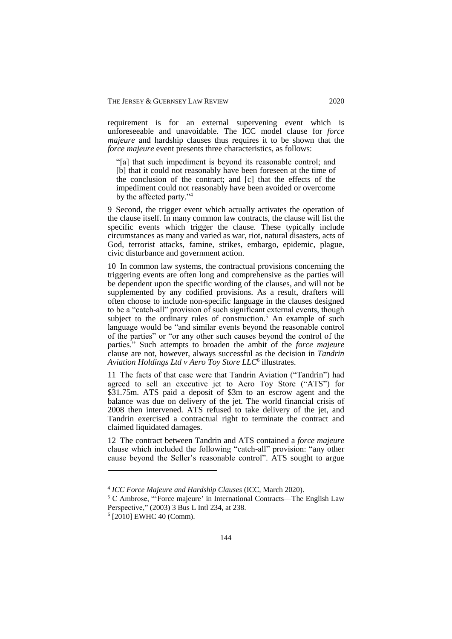requirement is for an external supervening event which is unforeseeable and unavoidable. The ICC model clause for *force majeure* and hardship clauses thus requires it to be shown that the *force majeure* event presents three characteristics, as follows:

"[a] that such impediment is beyond its reasonable control; and [b] that it could not reasonably have been foreseen at the time of the conclusion of the contract; and [c] that the effects of the impediment could not reasonably have been avoided or overcome by the affected party."<sup>4</sup>

9 Second, the trigger event which actually activates the operation of the clause itself. In many common law contracts, the clause will list the specific events which trigger the clause. These typically include circumstances as many and varied as war, riot, natural disasters, acts of God, terrorist attacks, famine, strikes, embargo, epidemic, plague, civic disturbance and government action.

10 In common law systems, the contractual provisions concerning the triggering events are often long and comprehensive as the parties will be dependent upon the specific wording of the clauses, and will not be supplemented by any codified provisions. As a result, drafters will often choose to include non-specific language in the clauses designed to be a "catch-all" provision of such significant external events, though subject to the ordinary rules of construction.<sup>5</sup> An example of such language would be "and similar events beyond the reasonable control of the parties" or "or any other such causes beyond the control of the parties." Such attempts to broaden the ambit of the *force majeure* clause are not, however, always successful as the decision in *Tandrin Aviation Holdings Ltd v Aero Toy Store LLC*<sup>6</sup> illustrates.

11 The facts of that case were that Tandrin Aviation ("Tandrin") had agreed to sell an executive jet to Aero Toy Store ("ATS") for \$31.75m. ATS paid a deposit of \$3m to an escrow agent and the balance was due on delivery of the jet. The world financial crisis of 2008 then intervened. ATS refused to take delivery of the jet, and Tandrin exercised a contractual right to terminate the contract and claimed liquidated damages.

12 The contract between Tandrin and ATS contained a *force majeure* clause which included the following "catch-all" provision: "any other cause beyond the Seller's reasonable control". ATS sought to argue

<u>.</u>

<sup>4</sup> *ICC Force Majeure and Hardship Clauses* (ICC, March 2020).

<sup>5</sup> C Ambrose, "'Force majeure' in International Contracts—The English Law Perspective," (2003) 3 Bus L Intl 234, at 238.

<sup>6</sup> [2010] EWHC 40 (Comm).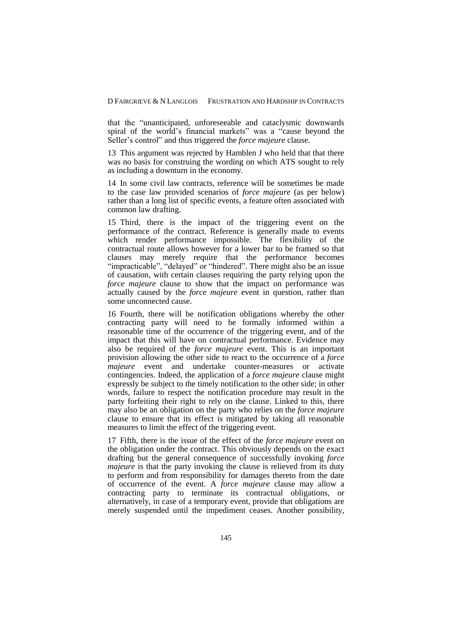that the "unanticipated, unforeseeable and cataclysmic downwards spiral of the world's financial markets" was a "cause beyond the Seller's control" and thus triggered the *force majeure* clause.

13 This argument was rejected by Hamblen J who held that that there was no basis for construing the wording on which ATS sought to rely as including a downturn in the economy.

14 In some civil law contracts, reference will be sometimes be made to the case law provided scenarios of *force majeure* (as per below) rather than a long list of specific events, a feature often associated with common law drafting.

15 Third, there is the impact of the triggering event on the performance of the contract. Reference is generally made to events which render performance impossible. The flexibility of the contractual route allows however for a lower bar to be framed so that clauses may merely require that the performance becomes "impracticable", "delayed" or "hindered". There might also be an issue of causation, with certain clauses requiring the party relying upon the *force majeure* clause to show that the impact on performance was actually caused by the *force majeure* event in question, rather than some unconnected cause.

16 Fourth, there will be notification obligations whereby the other contracting party will need to be formally informed within a reasonable time of the occurrence of the triggering event, and of the impact that this will have on contractual performance. Evidence may also be required of the *force majeure* event. This is an important provision allowing the other side to react to the occurrence of a *force majeure* event and undertake counter-measures or activate contingencies. Indeed, the application of a *force majeure* clause might expressly be subject to the timely notification to the other side; in other words, failure to respect the notification procedure may result in the party forfeiting their right to rely on the clause. Linked to this, there may also be an obligation on the party who relies on the *force majeure* clause to ensure that its effect is mitigated by taking all reasonable measures to limit the effect of the triggering event.

17 Fifth, there is the issue of the effect of the *force majeure* event on the obligation under the contract. This obviously depends on the exact drafting but the general consequence of successfully invoking *force majeure* is that the party invoking the clause is relieved from its duty to perform and from responsibility for damages thereto from the date of occurrence of the event. A *force majeure* clause may allow a contracting party to terminate its contractual obligations, or alternatively, in case of a temporary event, provide that obligations are merely suspended until the impediment ceases. Another possibility,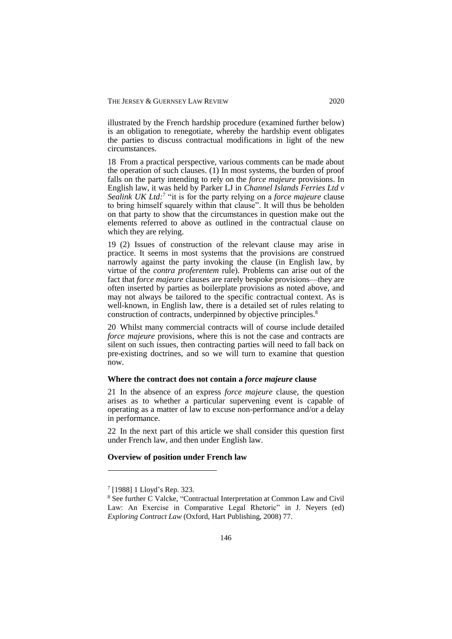illustrated by the French hardship procedure (examined further below) is an obligation to renegotiate, whereby the hardship event obligates the parties to discuss contractual modifications in light of the new circumstances.

18 From a practical perspective, various comments can be made about the operation of such clauses. (1) In most systems, the burden of proof falls on the party intending to rely on the *force majeure* provisions. In English law, it was held by Parker LJ in *Channel Islands Ferries Ltd v*  Sealink UK Ltd:<sup>7</sup> "it is for the party relying on a *force majeure* clause to bring himself squarely within that clause". It will thus be beholden on that party to show that the circumstances in question make out the elements referred to above as outlined in the contractual clause on which they are relying.

19 (2) Issues of construction of the relevant clause may arise in practice. It seems in most systems that the provisions are construed narrowly against the party invoking the clause (in English law, by virtue of the *contra proferentem* rule). Problems can arise out of the fact that *force majeure* clauses are rarely bespoke provisions—they are often inserted by parties as boilerplate provisions as noted above, and may not always be tailored to the specific contractual context. As is well-known, in English law, there is a detailed set of rules relating to construction of contracts, underpinned by objective principles.<sup>8</sup>

20 Whilst many commercial contracts will of course include detailed *force majeure* provisions, where this is not the case and contracts are silent on such issues, then contracting parties will need to fall back on pre-existing doctrines, and so we will turn to examine that question now.

### **Where the contract does not contain a** *force majeure* **clause**

21 In the absence of an express *force majeure* clause, the question arises as to whether a particular supervening event is capable of operating as a matter of law to excuse non-performance and/or a delay in performance.

22 In the next part of this article we shall consider this question first under French law, and then under English law.

### **Overview of position under French law**

<u>.</u>

<sup>7</sup> [1988] 1 Lloyd's Rep. 323.

<sup>8</sup> See further C Valcke, "Contractual Interpretation at Common Law and Civil Law: An Exercise in Comparative Legal Rhetoric" in J. Neyers (ed) *Exploring Contract Law* (Oxford, Hart Publishing, 2008) 77.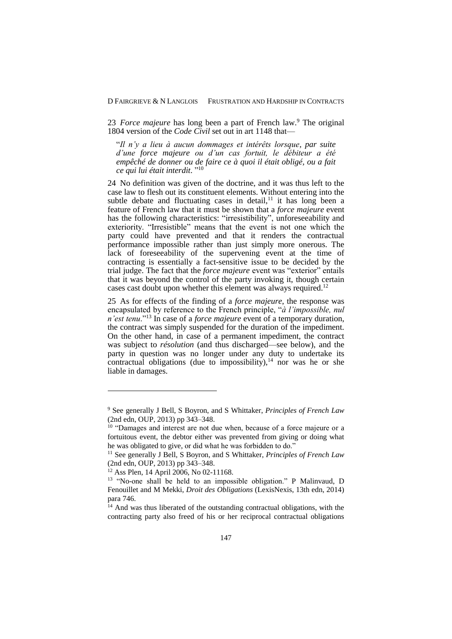23 *Force majeure* has long been a part of French law.<sup>9</sup> The original 1804 version of the *Code Civil* set out in art 1148 that—

"*Il n'y a lieu à aucun dommages et intérêts lorsque, par suite d'une force majeure ou d'un cas fortuit, le débiteur a été empêché de donner ou de faire ce à quoi il était obligé, ou a fait ce qui lui était interdit*. " 10

24 No definition was given of the doctrine, and it was thus left to the case law to flesh out its constituent elements. Without entering into the subtle debate and fluctuating cases in detail, $11$  it has long been a feature of French law that it must be shown that a *force majeure* event has the following characteristics: "irresistibility", unforeseeability and exteriority. "Irresistible" means that the event is not one which the party could have prevented and that it renders the contractual performance impossible rather than just simply more onerous. The lack of foreseeability of the supervening event at the time of contracting is essentially a fact-sensitive issue to be decided by the trial judge. The fact that the *force majeure* event was "exterior" entails that it was beyond the control of the party invoking it, though certain cases cast doubt upon whether this element was always required.<sup>12</sup>

25 As for effects of the finding of a *force majeure*, the response was encapsulated by reference to the French principle, "*à l'impossible, nul n'est tenu*."<sup>13</sup> In case of a *force majeure* event of a temporary duration, the contract was simply suspended for the duration of the impediment. On the other hand, in case of a permanent impediment, the contract was subject to *résolution* (and thus discharged—see below), and the party in question was no longer under any duty to undertake its contractual obligations (due to impossibility),  $14$  nor was he or she liable in damages.

<sup>9</sup> See generally J Bell, S Boyron, and S Whittaker, *Principles of French Law*  (2nd edn, OUP, 2013) pp 343–348.

<sup>&</sup>lt;sup>10</sup> "Damages and interest are not due when, because of a force majeure or a fortuitous event, the debtor either was prevented from giving or doing what he was obligated to give, or did what he was forbidden to do."

<sup>&</sup>lt;sup>11</sup> See generally J Bell, S Boyron, and S Whittaker, *Principles of French Law* (2nd edn, OUP, 2013) pp 343–348.

 $12$  Ass Plen, 14 April 2006, No 02-11168.

<sup>&</sup>lt;sup>13</sup> "No-one shall be held to an impossible obligation." P Malinvaud, D Fenouillet and M Mekki, *Droit des Obligations* (LexisNexis, 13th edn, 2014) para 746.

<sup>&</sup>lt;sup>14</sup> And was thus liberated of the outstanding contractual obligations, with the contracting party also freed of his or her reciprocal contractual obligations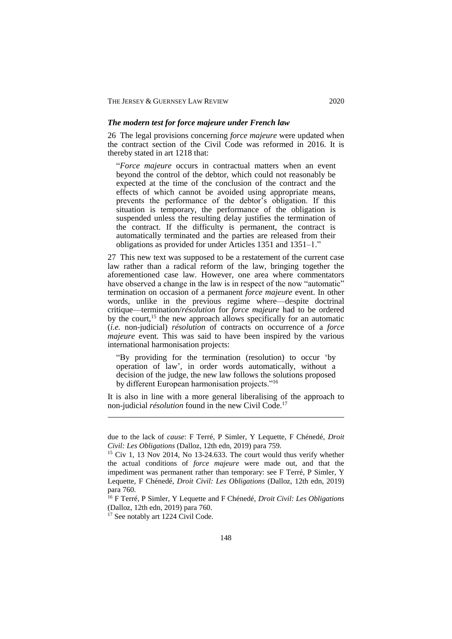#### *The modern test for force majeure under French law*

26 The legal provisions concerning *force majeure* were updated when the contract section of the Civil Code was reformed in 2016. It is thereby stated in art 1218 that:

"*Force majeure* occurs in contractual matters when an event beyond the control of the debtor, which could not reasonably be expected at the time of the conclusion of the contract and the effects of which cannot be avoided using appropriate means, prevents the performance of the debtor's obligation. If this situation is temporary, the performance of the obligation is suspended unless the resulting delay justifies the termination of the contract. If the difficulty is permanent, the contract is automatically terminated and the parties are released from their obligations as provided for under Articles 1351 and 1351–1."

27 This new text was supposed to be a restatement of the current case law rather than a radical reform of the law, bringing together the aforementioned case law. However, one area where commentators have observed a change in the law is in respect of the now "automatic" termination on occasion of a permanent *force majeure* event. In other words, unlike in the previous regime where—despite doctrinal critique—termination/*résolution* for *force majeure* had to be ordered by the court,<sup>15</sup> the new approach allows specifically for an automatic (*i.e.* non-judicial) *résolution* of contracts on occurrence of a *force majeure* event. This was said to have been inspired by the various international harmonisation projects:

"By providing for the termination (resolution) to occur 'by operation of law', in order words automatically, without a decision of the judge, the new law follows the solutions proposed by different European harmonisation projects."<sup>16</sup>

It is also in line with a more general liberalising of the approach to non-judicial *résolution* found in the new Civil Code.<sup>17</sup>

due to the lack of *cause*: F Terré, P Simler, Y Lequette, F Chénedé, *Droit Civil: Les Obligations* (Dalloz, 12th edn, 2019) para 759.

 $15$  Civ 1, 13 Nov 2014, No 13-24.633. The court would thus verify whether the actual conditions of *force majeure* were made out, and that the impediment was permanent rather than temporary: see F Terré, P Simler, Y Lequette, F Chénedé, *Droit Civil: Les Obligations* (Dalloz, 12th edn, 2019) para 760.

<sup>16</sup> F Terré, P Simler, Y Lequette and F Chénedé, *Droit Civil: Les Obligations* (Dalloz, 12th edn, 2019) para 760.

<sup>&</sup>lt;sup>17</sup> See notably art 1224 Civil Code.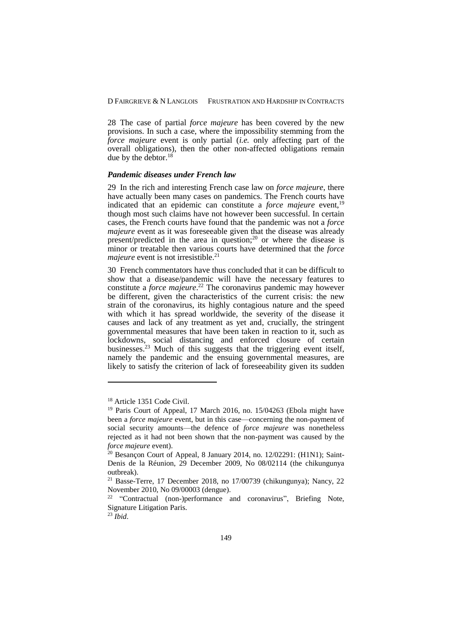28 The case of partial *force majeure* has been covered by the new provisions. In such a case, where the impossibility stemming from the *force majeure* event is only partial (*i.e.* only affecting part of the overall obligations), then the other non-affected obligations remain due by the debtor.<sup>18</sup>

### *Pandemic diseases under French law*

29 In the rich and interesting French case law on *force majeure*, there have actually been many cases on pandemics. The French courts have indicated that an epidemic can constitute a *force majeure* event,<sup>19</sup> though most such claims have not however been successful. In certain cases, the French courts have found that the pandemic was not a *force majeure* event as it was foreseeable given that the disease was already present/predicted in the area in question;<sup>20</sup> or where the disease is minor or treatable then various courts have determined that the *force majeure* event is not irresistible.<sup>21</sup>

30 French commentators have thus concluded that it can be difficult to show that a disease/pandemic will have the necessary features to constitute a *force majeure*. <sup>22</sup> The coronavirus pandemic may however be different, given the characteristics of the current crisis: the new strain of the coronavirus, its highly contagious nature and the speed with which it has spread worldwide, the severity of the disease it causes and lack of any treatment as yet and, crucially, the stringent governmental measures that have been taken in reaction to it, such as lockdowns, social distancing and enforced closure of certain businesses.<sup>23</sup> Much of this suggests that the triggering event itself, namely the pandemic and the ensuing governmental measures, are likely to satisfy the criterion of lack of foreseeability given its sudden

<sup>&</sup>lt;sup>18</sup> Article 1351 Code Civil.

<sup>&</sup>lt;sup>19</sup> Paris Court of Appeal, 17 March 2016, no. 15/04263 (Ebola might have been a *force majeure* event, but in this case—concerning the non-payment of social security amounts—the defence of *force majeure* was nonetheless rejected as it had not been shown that the non-payment was caused by the *force majeure* event).

 $20$  Besançon Court of Appeal, 8 January 2014, no. 12/02291: (H1N1); Saint-Denis de la Réunion, 29 December 2009, No 08/02114 (the chikungunya outbreak).

<sup>21</sup> Basse-Terre, 17 December 2018, no 17/00739 (chikungunya); Nancy, 22 November 2010, No 09/00003 (dengue).

<sup>&</sup>lt;sup>22</sup> "Contractual (non-)performance and coronavirus", Briefing Note, Signature Litigation Paris.

<sup>23</sup> *Ibid*.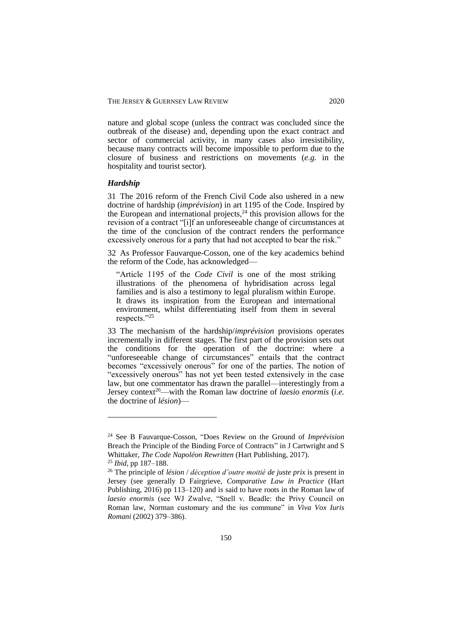nature and global scope (unless the contract was concluded since the outbreak of the disease) and, depending upon the exact contract and sector of commercial activity, in many cases also irresistibility, because many contracts will become impossible to perform due to the closure of business and restrictions on movements (*e.g.* in the hospitality and tourist sector).

# *Hardship*

31 The 2016 reform of the French Civil Code also ushered in a new doctrine of hardship (*imprévision*) in art 1195 of the Code. Inspired by the European and international projects, $24$  this provision allows for the revision of a contract "[i]f an unforeseeable change of circumstances at the time of the conclusion of the contract renders the performance excessively onerous for a party that had not accepted to bear the risk."

32 As Professor Fauvarque-Cosson, one of the key academics behind the reform of the Code, has acknowledged—

"Article 1195 of the *Code Civil* is one of the most striking illustrations of the phenomena of hybridisation across legal families and is also a testimony to legal pluralism within Europe. It draws its inspiration from the European and international environment, whilst differentiating itself from them in several respects."<sup>25</sup>

33 The mechanism of the hardship/*imprévision* provisions operates incrementally in different stages. The first part of the provision sets out the conditions for the operation of the doctrine: where a "unforeseeable change of circumstances" entails that the contract becomes "excessively onerous" for one of the parties. The notion of "excessively onerous" has not yet been tested extensively in the case law, but one commentator has drawn the parallel—interestingly from a Jersey context<sup>26</sup>—with the Roman law doctrine of *laesio enormis* (*i.e.* the doctrine of *lésion*)—

<sup>24</sup> See B Fauvarque-Cosson, "Does Review on the Ground of *Imprévision*  Breach the Principle of the Binding Force of Contracts" in J Cartwright and S Whittaker, *The Code Napoléon Rewritten* (Hart Publishing, 2017).

<sup>25</sup> *Ibid*, pp 187–188.

<sup>26</sup> The principle of *lésion* / *déception d'outre moitié de juste prix* is present in Jersey (see generally D Fairgrieve, *Comparative Law in Practice* (Hart Publishing, 2016) pp 113–120) and is said to have roots in the Roman law of *laesio enormis* (see WJ Zwalve, "Snell v. Beadle: the Privy Council on Roman law, Norman customary and the ius commune" in *[Viva Vox Iuris](http://141.84.97.70:8080/exist/cat/lwi-query.xq?start=1&howmany=50&query=%2F%2FITEM%5Bnear(ZS%2C)  [Romani](http://141.84.97.70:8080/exist/cat/lwi-query.xq?start=1&howmany=50&query=%2F%2FITEM%5Bnear(ZS%2C)* (2002) 379–386).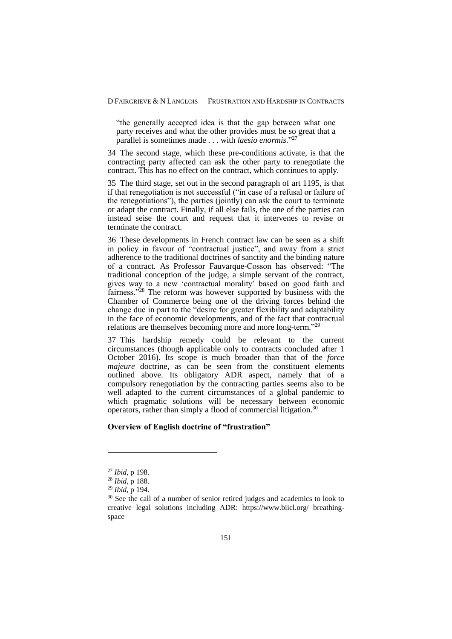"the generally accepted idea is that the gap between what one party receives and what the other provides must be so great that a parallel is sometimes made . . . with *laesio enormis*."<sup>27</sup>

34 The second stage, which these pre-conditions activate, is that the contracting party affected can ask the other party to renegotiate the contract. This has no effect on the contract, which continues to apply.

35 The third stage, set out in the second paragraph of art 1195, is that if that renegotiation is not successful ("in case of a refusal or failure of the renegotiations"), the parties (jointly) can ask the court to terminate or adapt the contract. Finally, if all else fails, the one of the parties can instead seise the court and request that it intervenes to revise or terminate the contract.

36 These developments in French contract law can be seen as a shift in policy in favour of "contractual justice", and away from a strict adherence to the traditional doctrines of sanctity and the binding nature of a contract. As Professor Fauvarque-Cosson has observed: "The traditional conception of the judge, a simple servant of the contract, gives way to a new 'contractual morality' based on good faith and fairness."<sup>28</sup> The reform was however supported by business with the Chamber of Commerce being one of the driving forces behind the change due in part to the "desire for greater flexibility and adaptability in the face of economic developments, and of the fact that contractual relations are themselves becoming more and more long-term."<sup>29</sup>

37 This hardship remedy could be relevant to the current circumstances (though applicable only to contracts concluded after 1 October 2016). Its scope is much broader than that of the *force majeure* doctrine, as can be seen from the constituent elements outlined above. Its obligatory ADR aspect, namely that of a compulsory renegotiation by the contracting parties seems also to be well adapted to the current circumstances of a global pandemic to which pragmatic solutions will be necessary between economic operators, rather than simply a flood of commercial litigation.<sup>30</sup>

# **Overview of English doctrine of "frustration"**

<sup>27</sup> *Ibid*, p 198.

<sup>28</sup> *Ibid*, p 188.

<sup>29</sup> *Ibid*, p 194.

 $30$  See the call of a number of senior retired judges and academics to look to creative legal solutions including ADR: https://www.biicl.org/ breathingspace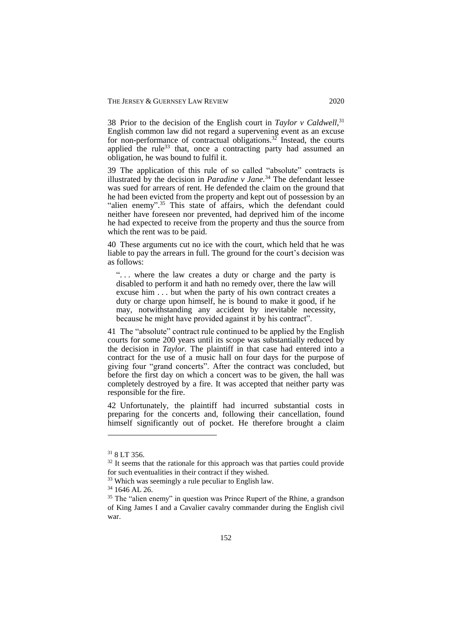38 Prior to the decision of the English court in *Taylor v Caldwell,* 31 English common law did not regard a supervening event as an excuse for non-performance of contractual obligations.<sup>32</sup> Instead, the courts applied the rule<sup>33</sup> that, once a contracting party had assumed an obligation, he was bound to fulfil it.

39 The application of this rule of so called "absolute" contracts is illustrated by the decision in *Paradine v Jane.* <sup>34</sup> The defendant lessee was sued for arrears of rent. He defended the claim on the ground that he had been evicted from the property and kept out of possession by an "alien enemy".<sup>35</sup> This state of affairs, which the defendant could neither have foreseen nor prevented, had deprived him of the income he had expected to receive from the property and thus the source from which the rent was to be paid.

40 These arguments cut no ice with the court, which held that he was liable to pay the arrears in full. The ground for the court's decision was as follows:

". . . where the law creates a duty or charge and the party is disabled to perform it and hath no remedy over, there the law will excuse him . . . but when the party of his own contract creates a duty or charge upon himself, he is bound to make it good, if he may, notwithstanding any accident by inevitable necessity, because he might have provided against it by his contract".

41 The "absolute" contract rule continued to be applied by the English courts for some 200 years until its scope was substantially reduced by the decision in *Taylor.* The plaintiff in that case had entered into a contract for the use of a music hall on four days for the purpose of giving four "grand concerts". After the contract was concluded, but before the first day on which a concert was to be given, the hall was completely destroyed by a fire. It was accepted that neither party was responsible for the fire.

42 Unfortunately, the plaintiff had incurred substantial costs in preparing for the concerts and, following their cancellation, found himself significantly out of pocket. He therefore brought a claim

<sup>31</sup> 8 LT 356.

 $32$  It seems that the rationale for this approach was that parties could provide for such eventualities in their contract if they wished.

<sup>&</sup>lt;sup>33</sup> Which was seemingly a rule peculiar to English law.

<sup>34</sup> 1646 AL 26.

<sup>&</sup>lt;sup>35</sup> The "alien enemy" in question was Prince Rupert of the Rhine, a grandson of King James I and a Cavalier cavalry commander during the English civil war.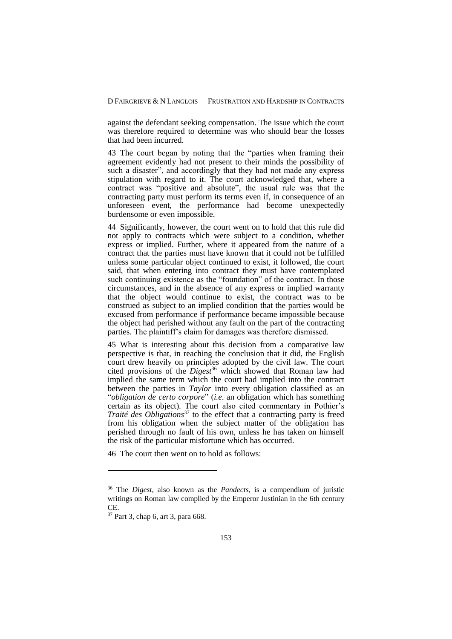against the defendant seeking compensation. The issue which the court was therefore required to determine was who should bear the losses that had been incurred.

43 The court began by noting that the "parties when framing their agreement evidently had not present to their minds the possibility of such a disaster", and accordingly that they had not made any express stipulation with regard to it. The court acknowledged that, where a contract was "positive and absolute", the usual rule was that the contracting party must perform its terms even if, in consequence of an unforeseen event, the performance had become unexpectedly burdensome or even impossible.

44 Significantly, however, the court went on to hold that this rule did not apply to contracts which were subject to a condition, whether express or implied. Further, where it appeared from the nature of a contract that the parties must have known that it could not be fulfilled unless some particular object continued to exist, it followed, the court said, that when entering into contract they must have contemplated such continuing existence as the "foundation" of the contract. In those circumstances, and in the absence of any express or implied warranty that the object would continue to exist, the contract was to be construed as subject to an implied condition that the parties would be excused from performance if performance became impossible because the object had perished without any fault on the part of the contracting parties. The plaintiff's claim for damages was therefore dismissed.

45 What is interesting about this decision from a comparative law perspective is that, in reaching the conclusion that it did, the English court drew heavily on principles adopted by the civil law. The court cited provisions of the *Digest*<sup>36</sup> which showed that Roman law had implied the same term which the court had implied into the contract between the parties in *Taylor* into every obligation classified as an "*obligation de certo corpore*" (*i.e*. an obligation which has something certain as its object). The court also cited commentary in Pothier's *Traité des Obligations*<sup>37</sup> to the effect that a contracting party is freed from his obligation when the subject matter of the obligation has perished through no fault of his own, unless he has taken on himself the risk of the particular misfortune which has occurred.

46 The court then went on to hold as follows:

<u>.</u>

<sup>36</sup> The *Digest*, also known as the *Pandects*, is a compendium of juristic writings on Roman law complied by the Emperor Justinian in the 6th century CE.

<sup>37</sup> Part 3, chap 6, art 3, para 668.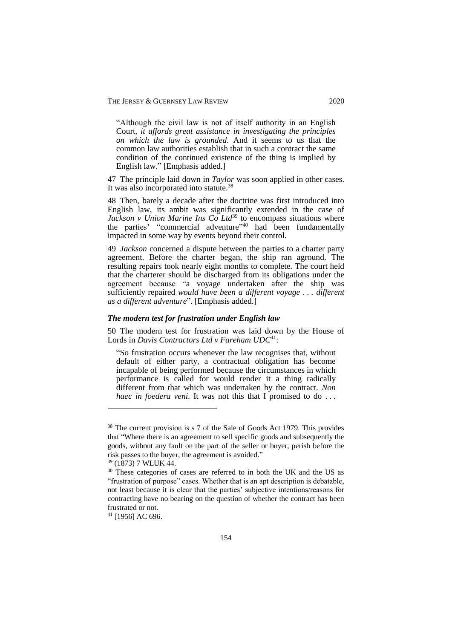"Although the civil law is not of itself authority in an English Court, *it affords great assistance in investigating the principles on which the law is grounded*. And it seems to us that the common law authorities establish that in such a contract the same condition of the continued existence of the thing is implied by English law." [Emphasis added.]

47 The principle laid down in *Taylor* was soon applied in other cases. It was also incorporated into statute.<sup>38</sup>

48 Then, barely a decade after the doctrine was first introduced into English law, its ambit was significantly extended in the case of *Jackson v Union Marine Ins Co Ltd*<sup>39</sup> to encompass situations where the parties' "commercial adventure" <sup>40</sup> had been fundamentally impacted in some way by events beyond their control.

49 *Jackson* concerned a dispute between the parties to a charter party agreement. Before the charter began, the ship ran aground. The resulting repairs took nearly eight months to complete. The court held that the charterer should be discharged from its obligations under the agreement because "a voyage undertaken after the ship was sufficiently repaired *would have been a different voyage . . . different as a different adventure*". [Emphasis added.]

### *The modern test for frustration under English law*

50 The modern test for frustration was laid down by the House of Lords in *Davis Contractors Ltd v Fareham UDC*<sup>41</sup>:

"So frustration occurs whenever the law recognises that, without default of either party, a contractual obligation has become incapable of being performed because the circumstances in which performance is called for would render it a thing radically different from that which was undertaken by the contract. *Non haec in foedera veni*. It was not this that I promised to do ...

<sup>&</sup>lt;sup>38</sup> The current provision is s 7 of the Sale of Goods Act 1979. This provides that "Where there is an agreement to sell specific goods and subsequently the goods, without any fault on the part of the seller or buyer, perish before the risk passes to the buyer, the agreement is avoided."

<sup>39</sup> (1873) 7 WLUK 44.

<sup>&</sup>lt;sup>40</sup> These categories of cases are referred to in both the UK and the US as "frustration of purpose" cases. Whether that is an apt description is debatable, not least because it is clear that the parties' subjective intentions/reasons for contracting have no bearing on the question of whether the contract has been frustrated or not.

<sup>41</sup> [1956] AC 696.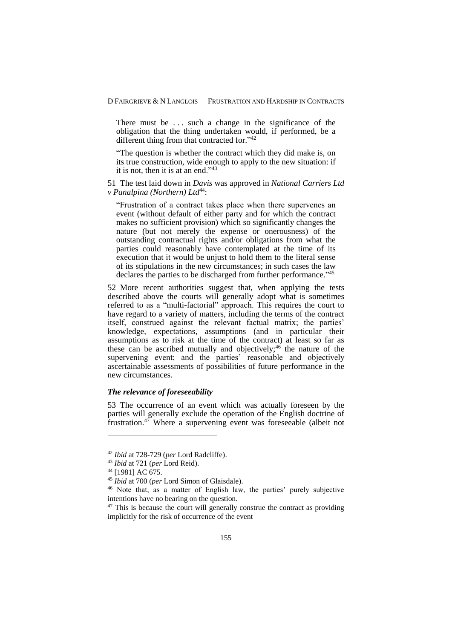There must be ... such a change in the significance of the obligation that the thing undertaken would, if performed, be a different thing from that contracted for."42

"The question is whether the contract which they did make is, on its true construction, wide enough to apply to the new situation: if it is not, then it is at an end."<sup>43</sup>

51 The test laid down in *Davis* was approved in *National Carriers Ltd v Panalpina (Northern)* Ltd<sup>44</sup>:

"Frustration of a contract takes place when there supervenes an event (without default of either party and for which the contract makes no sufficient provision) which so significantly changes the nature (but not merely the expense or onerousness) of the outstanding contractual rights and/or obligations from what the parties could reasonably have contemplated at the time of its execution that it would be unjust to hold them to the literal sense of its stipulations in the new circumstances; in such cases the law declares the parties to be discharged from further performance."<sup>45</sup>

52 More recent authorities suggest that, when applying the tests described above the courts will generally adopt what is sometimes referred to as a "multi*-*factorial" approach. This requires the court to have regard to a variety of matters, including the terms of the contract itself, construed against the relevant factual matrix; the parties' knowledge, expectations, assumptions (and in particular their assumptions as to risk at the time of the contract) at least so far as these can be ascribed mutually and objectively; <sup>46</sup> the nature of the supervening event; and the parties' reasonable and objectively ascertainable assessments of possibilities of future performance in the new circumstances.

# *The relevance of foreseeability*

53 The occurrence of an event which was actually foreseen by the parties will generally exclude the operation of the English doctrine of frustration. $47$  Where a supervening event was foreseeable (albeit not

<sup>42</sup> *Ibid* at 728-729 (*per* Lord Radcliffe).

<sup>43</sup> *Ibid* at 721 (*per* Lord Reid).

 $44$  [1981] AC 675.

<sup>45</sup> *Ibid* at 700 (*per* Lord Simon of Glaisdale).

<sup>46</sup> Note that, as a matter of English law, the parties' purely subjective intentions have no bearing on the question.

 $47$  This is because the court will generally construe the contract as providing implicitly for the risk of occurrence of the event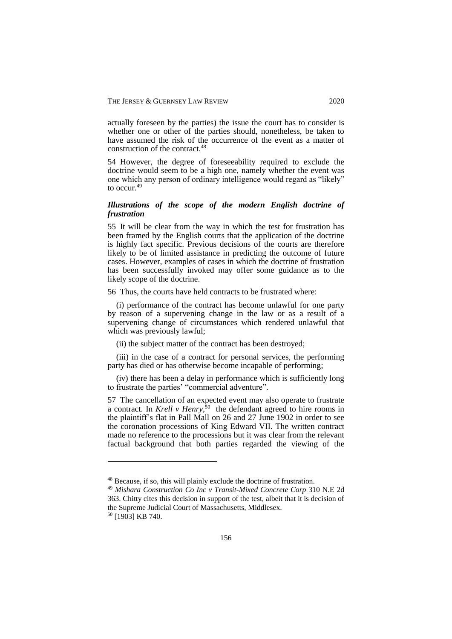actually foreseen by the parties) the issue the court has to consider is whether one or other of the parties should, nonetheless, be taken to have assumed the risk of the occurrence of the event as a matter of construction of the contract. 48

54 However, the degree of foreseeability required to exclude the doctrine would seem to be a high one, namely whether the event was one which any person of ordinary intelligence would regard as "likely" to occur. 49

# *Illustrations of the scope of the modern English doctrine of frustration*

55 It will be clear from the way in which the test for frustration has been framed by the English courts that the application of the doctrine is highly fact specific. Previous decisions of the courts are therefore likely to be of limited assistance in predicting the outcome of future cases. However, examples of cases in which the doctrine of frustration has been successfully invoked may offer some guidance as to the likely scope of the doctrine.

56 Thus, the courts have held contracts to be frustrated where:

(i) performance of the contract has become unlawful for one party by reason of a supervening change in the law or as a result of a supervening change of circumstances which rendered unlawful that which was previously lawful;

(ii) the subject matter of the contract has been destroyed;

(iii) in the case of a contract for personal services, the performing party has died or has otherwise become incapable of performing;

(iv) there has been a delay in performance which is sufficiently long to frustrate the parties' "commercial adventure".

57 The cancellation of an expected event may also operate to frustrate a contract. In *Krell v Henry*,<sup>50</sup> the defendant agreed to hire rooms in the plaintiff's flat in Pall Mall on 26 and 27 June 1902 in order to see the coronation processions of King Edward VII. The written contract made no reference to the processions but it was clear from the relevant factual background that both parties regarded the viewing of the

<sup>48</sup> Because, if so, this will plainly exclude the doctrine of frustration.

<sup>49</sup> *Mishara Construction Co Inc v Transit-Mixed Concrete Corp* 310 N.E 2d 363. Chitty cites this decision in support of the test, albeit that it is decision of the Supreme Judicial Court of Massachusetts, Middlesex.

<sup>50</sup> [1903] KB 740.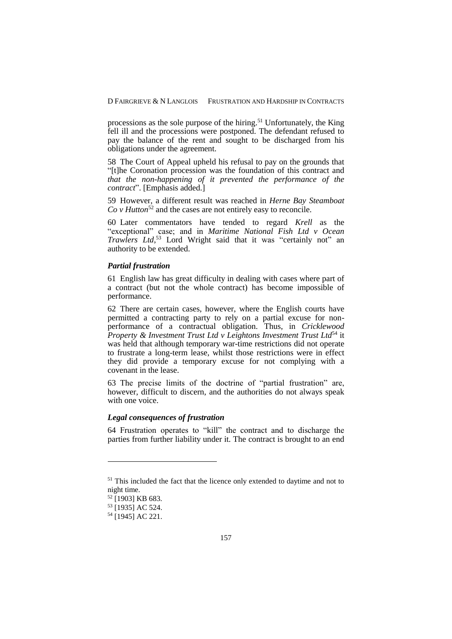processions as the sole purpose of the hiring.<sup>51</sup> Unfortunately, the King fell ill and the processions were postponed. The defendant refused to pay the balance of the rent and sought to be discharged from his obligations under the agreement.

58 The Court of Appeal upheld his refusal to pay on the grounds that "[t]he Coronation procession was the foundation of this contract and *that the non-happening of it prevented the performance of the contract*". [Emphasis added.]

59 However, a different result was reached in *Herne Bay Steamboat Co v Hutton*<sup>52</sup> and the cases are not entirely easy to reconcile.

60 Later commentators have tended to regard *Krell* as the "exceptional" case; and in *Maritime National Fish Ltd v Ocean Trawlers Ltd*, <sup>53</sup> Lord Wright said that it was "certainly not" an authority to be extended.

### *Partial frustration*

61 English law has great difficulty in dealing with cases where part of a contract (but not the whole contract) has become impossible of performance.

62 There are certain cases, however, where the English courts have permitted a contracting party to rely on a partial excuse for nonperformance of a contractual obligation. Thus, in *Cricklewood Property & Investment Trust Ltd v Leightons Investment Trust Ltd*<sup>54</sup> it was held that although temporary war-time restrictions did not operate to frustrate a long-term lease, whilst those restrictions were in effect they did provide a temporary excuse for not complying with a covenant in the lease.

63 The precise limits of the doctrine of "partial frustration" are, however, difficult to discern, and the authorities do not always speak with one voice.

# *Legal consequences of frustration*

64 Frustration operates to "kill" the contract and to discharge the parties from further liability under it. The contract is brought to an end

<sup>&</sup>lt;sup>51</sup> This included the fact that the licence only extended to daytime and not to night time.

<sup>52</sup> [1903] KB 683.

<sup>53</sup> [1935] AC 524.

<sup>54</sup> [1945] AC 221.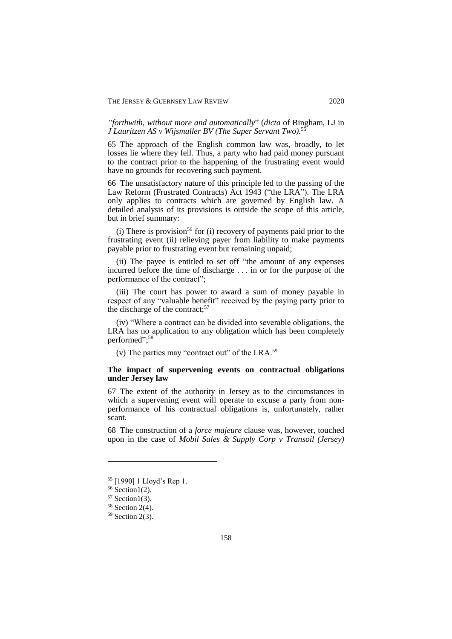*"forthwith, without more and automatically*" (*dicta* of Bingham, LJ in *J Lauritzen AS v Wijsmuller BV (The Super Servant Two).* 55

65 The approach of the English common law was, broadly, to let losses lie where they fell. Thus, a party who had paid money pursuant to the contract prior to the happening of the frustrating event would have no grounds for recovering such payment.

66 The unsatisfactory nature of this principle led to the passing of the Law Reform (Frustrated Contracts) Act 1943 ("the LRA"). The LRA only applies to contracts which are governed by English law. A detailed analysis of its provisions is outside the scope of this article, but in brief summary:

(i) There is provision<sup>56</sup> for (i) recovery of payments paid prior to the frustrating event (ii) relieving payer from liability to make payments payable prior to frustrating event but remaining unpaid;

(ii) The payee is entitled to set off "the amount of any expenses incurred before the time of discharge . . . in or for the purpose of the performance of the contract";

(iii) The court has power to award a sum of money payable in respect of any "valuable benefit" received by the paying party prior to the discharge of the contract; 57

(iv) "Where a contract can be divided into severable obligations, the LRA has no application to any obligation which has been completely performed";<sup>58</sup>

(v) The parties may "contract out" of the LRA. 59

## **The impact of supervening events on contractual obligations under Jersey law**

67 The extent of the authority in Jersey as to the circumstances in which a supervening event will operate to excuse a party from nonperformance of his contractual obligations is, unfortunately, rather scant.

68 The construction of a *force majeure* clause was, however, touched upon in the case of *Mobil Sales & Supply Corp v Transoil (Jersey)* 

<sup>55</sup> [1990] 1 Lloyd's Rep 1.

 $56$  Section1(2).

 $57$  Section1(3).

<sup>58</sup> Section 2(4).

 $59$  Section 2(3).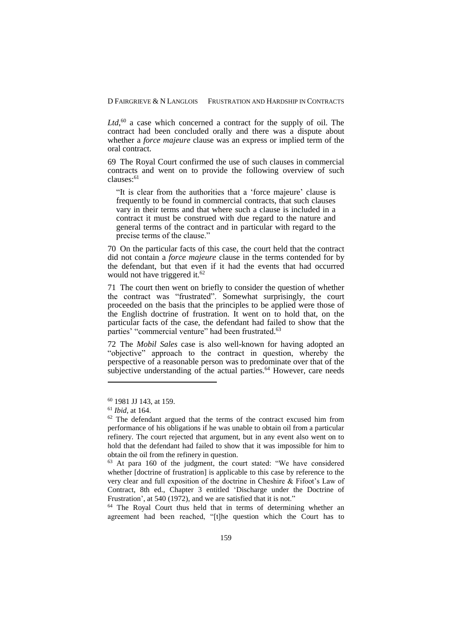Ltd,<sup>60</sup> a case which concerned a contract for the supply of oil. The contract had been concluded orally and there was a dispute about whether a *force majeure* clause was an express or implied term of the oral contract.

69 The Royal Court confirmed the use of such clauses in commercial contracts and went on to provide the following overview of such clauses:<sup>61</sup>

"It is clear from the authorities that a 'force majeure' clause is frequently to be found in commercial contracts, that such clauses vary in their terms and that where such a clause is included in a contract it must be construed with due regard to the nature and general terms of the contract and in particular with regard to the precise terms of the clause."

70 On the particular facts of this case, the court held that the contract did not contain a *force majeure* clause in the terms contended for by the defendant, but that even if it had the events that had occurred would not have triggered it. 62

71 The court then went on briefly to consider the question of whether the contract was "frustrated". Somewhat surprisingly, the court proceeded on the basis that the principles to be applied were those of the English doctrine of frustration. It went on to hold that, on the particular facts of the case, the defendant had failed to show that the parties' "commercial venture" had been frustrated.<sup>63</sup>

72 The *Mobil Sales* case is also well-known for having adopted an "objective" approach to the contract in question, whereby the perspective of a reasonable person was to predominate over that of the subjective understanding of the actual parties. $64$  However, care needs

1

<sup>64</sup> The Royal Court thus held that in terms of determining whether an agreement had been reached, "[t]he question which the Court has to

<sup>60</sup> 1981 JJ 143, at 159.

<sup>61</sup> *Ibid*, at 164.

<sup>&</sup>lt;sup>62</sup> The defendant argued that the terms of the contract excused him from performance of his obligations if he was unable to obtain oil from a particular refinery. The court rejected that argument, but in any event also went on to hold that the defendant had failed to show that it was impossible for him to obtain the oil from the refinery in question.

<sup>63</sup> At para 160 of the judgment, the court stated: "We have considered whether [doctrine of frustration] is applicable to this case by reference to the very clear and full exposition of the doctrine in Cheshire & Fifoot's Law of Contract, 8th ed., Chapter 3 entitled 'Discharge under the Doctrine of Frustration', at 540 (1972), and we are satisfied that it is not."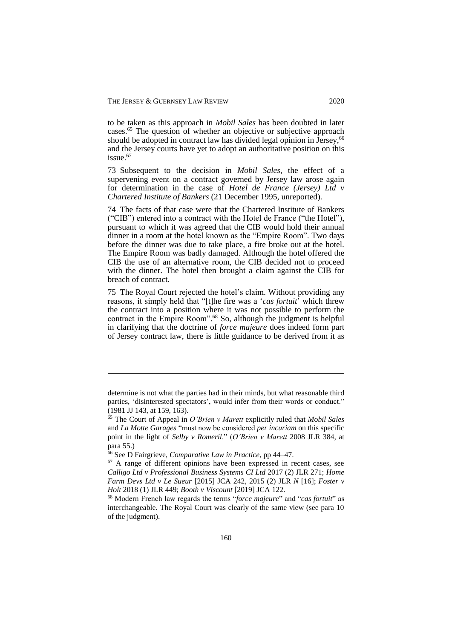to be taken as this approach in *Mobil Sales* has been doubted in later cases.<sup>65</sup> The question of whether an objective or subjective approach should be adopted in contract law has divided legal opinion in Jersey,<sup>66</sup> and the Jersey courts have yet to adopt an authoritative position on this issue.<sup>67</sup>

73 Subsequent to the decision in *Mobil Sales*, the effect of a supervening event on a contract governed by Jersey law arose again for determination in the case of *Hotel de France (Jersey) Ltd v Chartered Institute of Bankers* (21 December 1995, unreported).

74 The facts of that case were that the Chartered Institute of Bankers ("CIB") entered into a contract with the Hotel de France ("the Hotel"), pursuant to which it was agreed that the CIB would hold their annual dinner in a room at the hotel known as the "Empire Room". Two days before the dinner was due to take place, a fire broke out at the hotel. The Empire Room was badly damaged. Although the hotel offered the CIB the use of an alternative room, the CIB decided not to proceed with the dinner. The hotel then brought a claim against the CIB for breach of contract.

75 The Royal Court rejected the hotel's claim. Without providing any reasons, it simply held that "[t]he fire was a '*cas fortuit*' which threw the contract into a position where it was not possible to perform the contract in the Empire Room". <sup>68</sup> So, although the judgment is helpful in clarifying that the doctrine of *force majeure* does indeed form part of Jersey contract law, there is little guidance to be derived from it as

determine is not what the parties had in their minds, but what reasonable third parties, 'disinterested spectators', would infer from their words or conduct." (1981 JJ 143, at 159, 163).

<sup>65</sup> The Court of Appeal in *O'Brien v Marett* explicitly ruled that *Mobil Sales* and *La Motte Garages* "must now be considered *per incuriam* on this specific point in the light of *Selby v Romeril*." (*O'Brien v Marett* 2008 JLR 384, at para 55.)

<sup>66</sup> See D Fairgrieve, *Comparative Law in Practice*, pp 44–47.

 $67$  A range of different opinions have been expressed in recent cases, see *Calligo Ltd v Professional Business Systems CI Ltd* 2017 (2) JLR 271; *Home Farm Devs Ltd v Le Sueur* [2015] JCA 242, 2015 (2) JLR *N* [16]; *Foster v Holt* 2018 (1) JLR 449; *Booth v Viscount* [2019] JCA 122.

<sup>68</sup> Modern French law regards the terms "*force majeure*" and "*cas fortuit*" as interchangeable. The Royal Court was clearly of the same view (see para 10 of the judgment).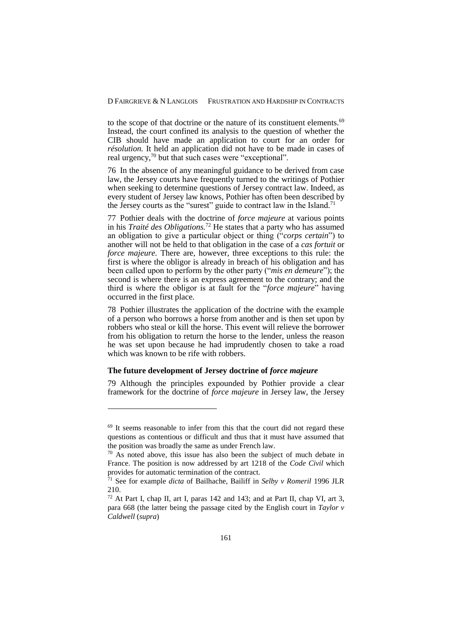to the scope of that doctrine or the nature of its constituent elements.<sup>69</sup> Instead, the court confined its analysis to the question of whether the CIB should have made an application to court for an order for *résolution.* It held an application did not have to be made in cases of real urgency,<sup>70</sup> but that such cases were "exceptional".

76 In the absence of any meaningful guidance to be derived from case law, the Jersey courts have frequently turned to the writings of Pothier when seeking to determine questions of Jersey contract law. Indeed, as every student of Jersey law knows, Pothier has often been described by the Jersey courts as the "surest" guide to contract law in the Island.<sup>71</sup>

77 Pothier deals with the doctrine of *force majeure* at various points in his *Traité des Obligations.* <sup>72</sup> He states that a party who has assumed an obligation to give a particular object or thing ("*corps certain*") to another will not be held to that obligation in the case of a *cas fortuit* or *force majeure.* There are, however, three exceptions to this rule: the first is where the obligor is already in breach of his obligation and has been called upon to perform by the other party ("*mis en demeure*"); the second is where there is an express agreement to the contrary; and the third is where the obligor is at fault for the "*force majeure*" having occurred in the first place.

78 Pothier illustrates the application of the doctrine with the example of a person who borrows a horse from another and is then set upon by robbers who steal or kill the horse. This event will relieve the borrower from his obligation to return the horse to the lender, unless the reason he was set upon because he had imprudently chosen to take a road which was known to be rife with robbers.

## **The future development of Jersey doctrine of** *force majeure*

1

79 Although the principles expounded by Pothier provide a clear framework for the doctrine of *force majeure* in Jersey law, the Jersey

 $69$  It seems reasonable to infer from this that the court did not regard these questions as contentious or difficult and thus that it must have assumed that the position was broadly the same as under French law.

 $70$  As noted above, this issue has also been the subject of much debate in France. The position is now addressed by art 1218 of the *Code Civil* which provides for automatic termination of the contract.

<sup>71</sup> See for example *dicta* of Bailhache, Bailiff in *Selby v Romeril* 1996 JLR 210.

<sup>72</sup> At Part I, chap II, art I, paras 142 and 143; and at Part II, chap VI, art 3, para 668 (the latter being the passage cited by the English court in *Taylor v Caldwell* (*supra*)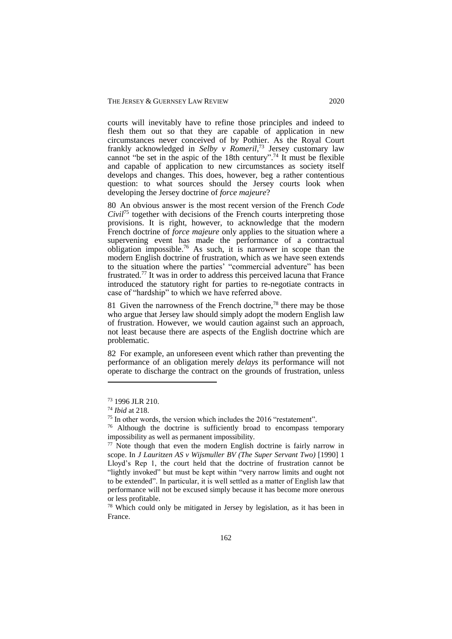courts will inevitably have to refine those principles and indeed to flesh them out so that they are capable of application in new circumstances never conceived of by Pothier. As the Royal Court frankly acknowledged in *Selby v Romeril,* <sup>73</sup> Jersey customary law cannot "be set in the aspic of the 18th century". <sup>74</sup> It must be flexible and capable of application to new circumstances as society itself develops and changes. This does, however, beg a rather contentious question: to what sources should the Jersey courts look when developing the Jersey doctrine of *force majeure*?

80 An obvious answer is the most recent version of the French *Code Civil*<sup>75</sup> together with decisions of the French courts interpreting those provisions. It is right, however, to acknowledge that the modern French doctrine of *force majeure* only applies to the situation where a supervening event has made the performance of a contractual obligation impossible. <sup>76</sup> As such, it is narrower in scope than the modern English doctrine of frustration, which as we have seen extends to the situation where the parties' "commercial adventure" has been frustrated.<sup>77</sup> It was in order to address this perceived lacuna that France introduced the statutory right for parties to re-negotiate contracts in case of "hardship" to which we have referred above.

81 Given the narrowness of the French doctrine,<sup>78</sup> there may be those who argue that Jersey law should simply adopt the modern English law of frustration. However, we would caution against such an approach, not least because there are aspects of the English doctrine which are problematic.

82 For example, an unforeseen event which rather than preventing the performance of an obligation merely *delays* its performance will not operate to discharge the contract on the grounds of frustration, unless

<sup>73</sup> 1996 JLR 210.

<sup>74</sup> *Ibid* at 218.

<sup>&</sup>lt;sup>75</sup> In other words, the version which includes the 2016 "restatement".

<sup>&</sup>lt;sup>76</sup> Although the doctrine is sufficiently broad to encompass temporary impossibility as well as permanent impossibility.

 $77$  Note though that even the modern English doctrine is fairly narrow in scope. In *J Lauritzen AS v Wijsmuller BV (The Super Servant Two)* [1990] 1 Lloyd's Rep 1, the *c*ourt held that the doctrine of frustration cannot be "lightly invoked" but must be kept within "very narrow limits and ought not to be extended". In particular, it is well settled as a matter of English law that performance will not be excused simply because it has become more onerous or less profitable.

<sup>78</sup> Which could only be mitigated in Jersey by legislation, as it has been in France.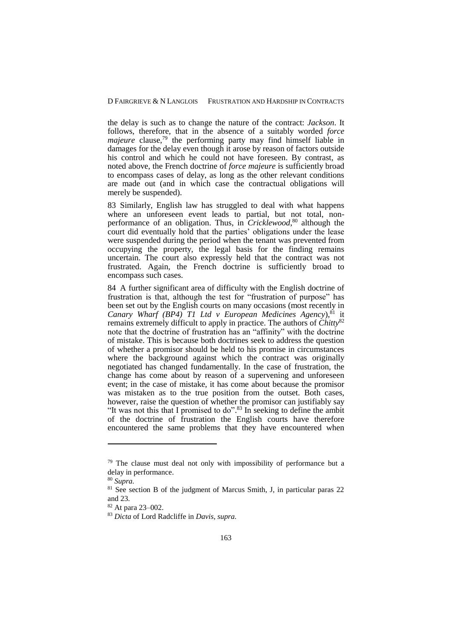the delay is such as to change the nature of the contract: *Jackson*. It follows, therefore, that in the absence of a suitably worded *force majeure* clause, <sup>79</sup> the performing party may find himself liable in damages for the delay even though it arose by reason of factors outside his control and which he could not have foreseen. By contrast, as noted above, the French doctrine of *force majeure* is sufficiently broad to encompass cases of delay, as long as the other relevant conditions are made out (and in which case the contractual obligations will merely be suspended).

83 Similarly, English law has struggled to deal with what happens where an unforeseen event leads to partial, but not total, nonperformance of an obligation. Thus, in *Cricklewood*, <sup>80</sup> although the court did eventually hold that the parties' obligations under the lease were suspended during the period when the tenant was prevented from occupying the property, the legal basis for the finding remains uncertain. The court also expressly held that the contract was not frustrated. Again, the French doctrine is sufficiently broad to encompass such cases.

84 A further significant area of difficulty with the English doctrine of frustration is that, although the test for "frustration of purpose" has been set out by the English courts on many occasions (most recently in *Canary Wharf (BP4) T1 Ltd v European Medicines Agency*),  $81$  it remains extremely difficult to apply in practice. The authors of *Chitty*<sup>82</sup> note that the doctrine of frustration has an "affinity" with the doctrine of mistake. This is because both doctrines seek to address the question of whether a promisor should be held to his promise in circumstances where the background against which the contract was originally negotiated has changed fundamentally. In the case of frustration, the change has come about by reason of a supervening and unforeseen event; in the case of mistake, it has come about because the promisor was mistaken as to the true position from the outset. Both cases, however, raise the question of whether the promisor can justifiably say "It was not this that I promised to do".<sup>83</sup> In seeking to define the ambit of the doctrine of frustration the English courts have therefore encountered the same problems that they have encountered when

<sup>&</sup>lt;sup>79</sup> The clause must deal not only with impossibility of performance but a delay in performance.

<sup>80</sup> *Supra.*

 $81$  See section B of the judgment of Marcus Smith, J, in particular paras 22 and 23.

<sup>82</sup> At para 23–002.

<sup>83</sup> *Dicta* of Lord Radcliffe in *Davis*, *supra.*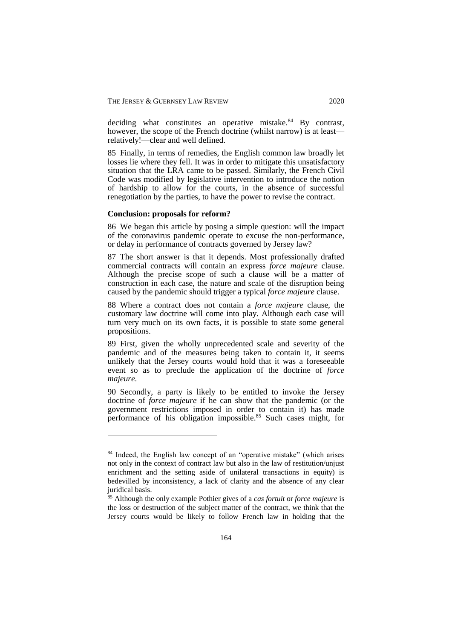deciding what constitutes an operative mistake.<sup>84</sup> By contrast, however, the scope of the French doctrine (whilst narrow) is at least relatively!—clear and well defined.

85 Finally, in terms of remedies, the English common law broadly let losses lie where they fell. It was in order to mitigate this unsatisfactory situation that the LRA came to be passed. Similarly, the French Civil Code was modified by legislative intervention to introduce the notion of hardship to allow for the courts, in the absence of successful renegotiation by the parties, to have the power to revise the contract.

#### **Conclusion: proposals for reform?**

1

86 We began this article by posing a simple question: will the impact of the coronavirus pandemic operate to excuse the non-performance, or delay in performance of contracts governed by Jersey law?

87 The short answer is that it depends. Most professionally drafted commercial contracts will contain an express *force majeure* clause. Although the precise scope of such a clause will be a matter of construction in each case, the nature and scale of the disruption being caused by the pandemic should trigger a typical *force majeure* clause.

88 Where a contract does not contain a *force majeure* clause, the customary law doctrine will come into play. Although each case will turn very much on its own facts, it is possible to state some general propositions.

89 First, given the wholly unprecedented scale and severity of the pandemic and of the measures being taken to contain it, it seems unlikely that the Jersey courts would hold that it was a foreseeable event so as to preclude the application of the doctrine of *force majeure*.

90 Secondly, a party is likely to be entitled to invoke the Jersey doctrine of *force majeure* if he can show that the pandemic (or the government restrictions imposed in order to contain it) has made performance of his obligation impossible. <sup>85</sup> Such cases might, for

<sup>&</sup>lt;sup>84</sup> Indeed, the English law concept of an "operative mistake" (which arises not only in the context of contract law but also in the law of restitution/unjust enrichment and the setting aside of unilateral transactions in equity) is bedevilled by inconsistency, a lack of clarity and the absence of any clear juridical basis.

<sup>85</sup> Although the only example Pothier gives of a *cas fortuit* or *force majeure* is the loss or destruction of the subject matter of the contract, we think that the Jersey courts would be likely to follow French law in holding that the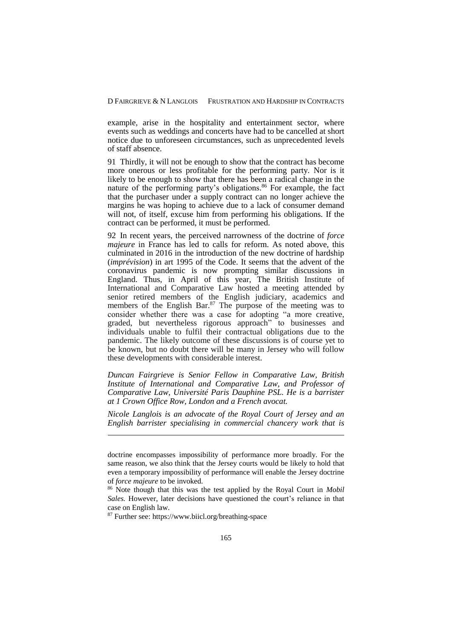example, arise in the hospitality and entertainment sector, where events such as weddings and concerts have had to be cancelled at short notice due to unforeseen circumstances, such as unprecedented levels of staff absence.

91 Thirdly, it will not be enough to show that the contract has become more onerous or less profitable for the performing party. Nor is it likely to be enough to show that there has been a radical change in the nature of the performing party's obligations. <sup>86</sup> For example, the fact that the purchaser under a supply contract can no longer achieve the margins he was hoping to achieve due to a lack of consumer demand will not, of itself, excuse him from performing his obligations. If the contract can be performed, it must be performed.

92 In recent years, the perceived narrowness of the doctrine of *force majeure* in France has led to calls for reform. As noted above, this culminated in 2016 in the introduction of the new doctrine of hardship (*imprévision*) in art 1995 of the Code. It seems that the advent of the coronavirus pandemic is now prompting similar discussions in England. Thus, in April of this year, The British Institute of International and Comparative Law hosted a meeting attended by senior retired members of the English judiciary, academics and members of the English Bar. $87$  The purpose of the meeting was to consider whether there was a case for adopting "a more creative, graded, but nevertheless rigorous approach" to businesses and individuals unable to fulfil their contractual obligations due to the pandemic. The likely outcome of these discussions is of course yet to be known, but no doubt there will be many in Jersey who will follow these developments with considerable interest.

*Duncan Fairgrieve is Senior Fellow in Comparative Law, British Institute of International and Comparative Law, and Professor of Comparative Law, Université Paris Dauphine PSL. He is a barrister at 1 Crown Office Row, London and a French avocat.*

*Nicole Langlois is an advocate of the Royal Court of Jersey and an English barrister specialising in commercial chancery work that is* 

doctrine encompasses impossibility of performance more broadly. For the same reason, we also think that the Jersey courts would be likely to hold that even a temporary impossibility of performance will enable the Jersey doctrine of *force majeure* to be invoked.

<sup>86</sup> Note though that this was the test applied by the Royal Court in *Mobil Sales.* However, later decisions have questioned the court's reliance in that case on English law.

<sup>87</sup> Further see: https://www.biicl.org/breathing-space